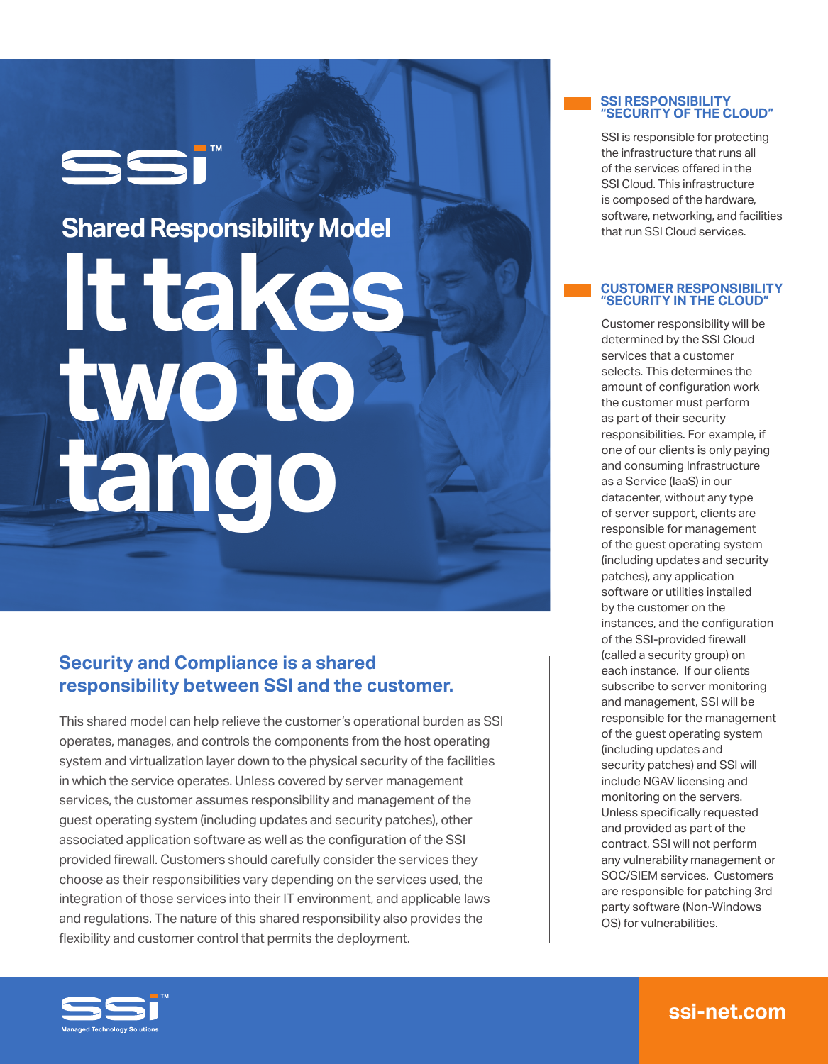## SSi

# **It takes two to tango Shared Responsibility Model**

### **Security and Compliance is a shared responsibility between SSI and the customer.**

This shared model can help relieve the customer's operational burden as SSI operates, manages, and controls the components from the host operating system and virtualization layer down to the physical security of the facilities in which the service operates. Unless covered by server management services, the customer assumes responsibility and management of the guest operating system (including updates and security patches), other associated application software as well as the configuration of the SSI provided firewall. Customers should carefully consider the services they choose as their responsibilities vary depending on the services used, the integration of those services into their IT environment, and applicable laws and regulations. The nature of this shared responsibility also provides the flexibility and customer control that permits the deployment.



SSI is responsible for protecting the infrastructure that runs all of the services offered in the SSI Cloud. This infrastructure is composed of the hardware, software, networking, and facilities that run SSI Cloud services.

#### **CUSTOMER RESPONSIBILITY "SECURITY IN THE CLOUD"**

Customer responsibility will be determined by the SSI Cloud services that a customer selects. This determines the amount of configuration work the customer must perform as part of their security responsibilities. For example, if one of our clients is only paying and consuming Infrastructure as a Service (IaaS) in our datacenter, without any type of server support, clients are responsible for management of the guest operating system (including updates and security patches), any application software or utilities installed by the customer on the instances, and the configuration of the SSI-provided firewall (called a security group) on each instance. If our clients subscribe to server monitoring and management, SSI will be responsible for the management of the guest operating system (including updates and security patches) and SSI will include NGAV licensing and monitoring on the servers. Unless specifically requested and provided as part of the contract, SSI will not perform any vulnerability management or SOC/SIEM services. Customers are responsible for patching 3rd party software (Non-Windows OS) for vulnerabilities.



**ssi-net.com**